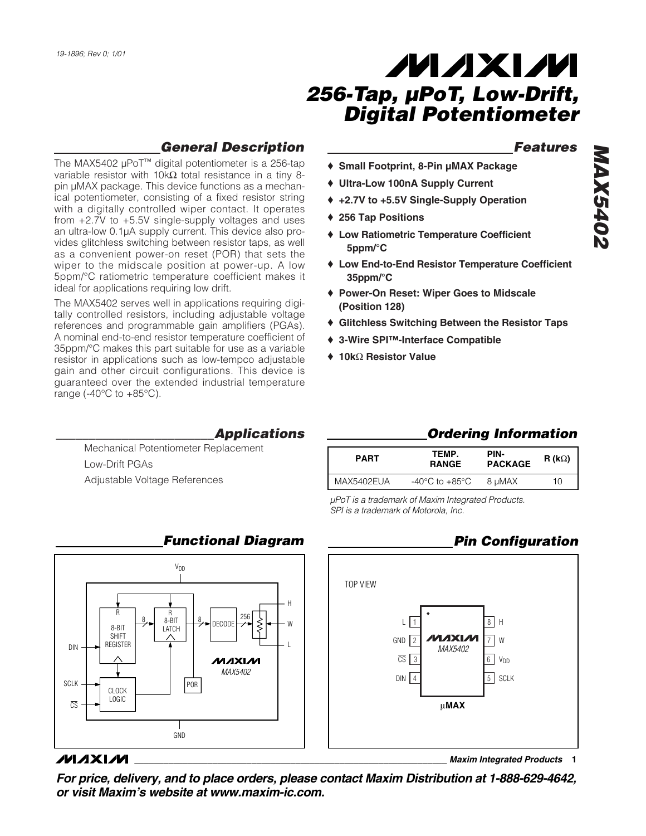#### *Features*

- ♦ **Small Footprint, 8-Pin µMAX Package**
- ♦ **Ultra-Low 100nA Supply Current**
- ♦ **+2.7V to +5.5V Single-Supply Operation**
- ♦ **256 Tap Positions**
- ♦ **Low Ratiometric Temperature Coefficient 5ppm/°C**
- ♦ **Low End-to-End Resistor Temperature Coefficient 35ppm/°C**
- ♦ **Power-On Reset: Wiper Goes to Midscale (Position 128)**
- ♦ **Glitchless Switching Between the Resistor Taps**
- ♦ **3-Wire SPI™-Interface Compatible**
- ♦ **10k**Ω **Resistor Value**
- as a convenient power-on reset (POR) that sets the wiper to the midscale position at power-up. A low 5ppm/°C ratiometric temperature coefficient makes it ideal for applications requiring low drift. The MAX5402 serves well in applications requiring digitally controlled resistors, including adjustable voltage references and programmable gain amplifiers (PGAs). A nominal end-to-end resistor temperature coefficient of 35ppm/°C makes this part suitable for use as a variable resistor in applications such as low-tempco adjustable gain and other circuit configurations. This device is

guaranteed over the extended industrial temperature

range (-40 $\degree$ C to +85 $\degree$ C).

The MAX5402 µPoT™ digital potentiometer is a 256-tap variable resistor with 10kΩ total resistance in a tiny 8pin µMAX package. This device functions as a mechanical potentiometer, consisting of a fixed resistor string with a digitally controlled wiper contact. It operates from +2.7V to +5.5V single-supply voltages and uses an ultra-low 0.1µA supply current. This device also provides glitchless switching between resistor taps, as well

*General Description*

*\_\_\_\_\_\_\_\_\_\_\_\_\_\_\_\_\_\_\_\_\_\_\_\_Applications*

Mechanical Potentiometer Replacement Low-Drift PGAs Adjustable Voltage References

| <b>PART</b> | TEMP.<br><b>RANGE</b>                                | PIN-<br><b>PACKAGE</b> | R (k $\Omega$ ) |
|-------------|------------------------------------------------------|------------------------|-----------------|
| MAX5402EUA  | -40 $\mathrm{^{\circ}C}$ to +85 $\mathrm{^{\circ}C}$ | 8 µMAX                 | 10              |

*µPoT is a trademark of Maxim Integrated Products. SPI is a trademark of Motorola, Inc.*



**\_\_\_\_\_\_\_\_\_\_\_\_\_\_\_\_\_\_\_\_\_\_\_\_\_\_\_\_\_\_\_\_\_\_\_\_\_\_\_\_\_\_\_\_\_\_\_\_\_\_\_\_\_\_\_\_\_\_\_\_\_\_\_\_** *Maxim Integrated Products* **1**



#### **MAXM**

SCLK

 $\overline{CS}$ 

DIN

*For price, delivery, and to place orders, please contact Maxim Distribution at 1-888-629-4642, or visit Maxim's website at www.maxim-ic.com.*

#### *Functional Diagram*

*MAX5402*

ルレスレル

DECODE

POR

GND

8

8

8-BIT LATCH

V<sub>DD</sub>

<sup>256</sup> <sup>R</sup> <sup>R</sup>

8-BIT SHIFT REGISTER

> CLOCK LOGIC

# *MAX5402* **MAX5402**

*Ordering Information*

H W

L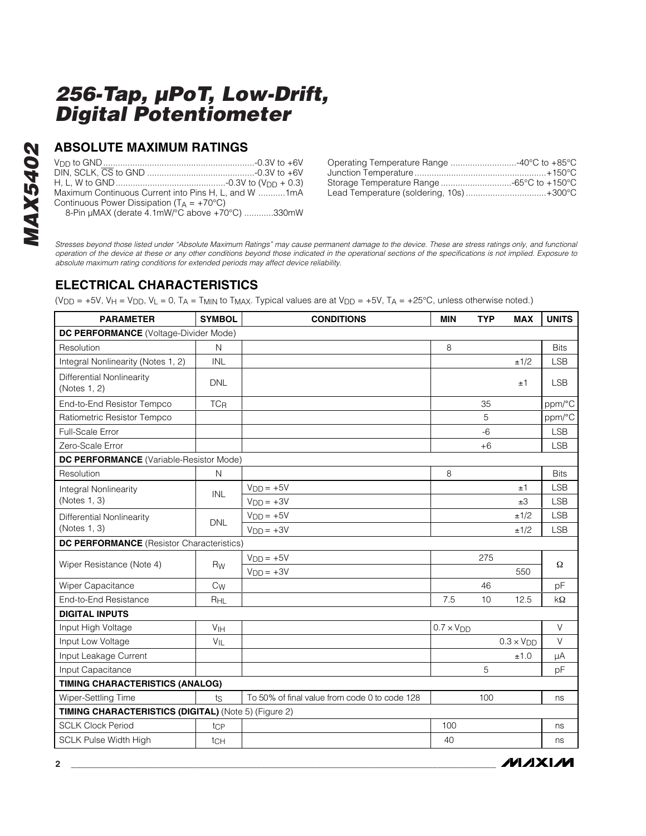### **ABSOLUTE MAXIMUM RATINGS**

| Maximum Continuous Current into Pins H. L. and W 1mA  |  |
|-------------------------------------------------------|--|
| Continuous Power Dissipation ( $T_A = +70^{\circ}C$ ) |  |
| 8-Pin µMAX (derate 4.1mW/°C above +70°C) 330mW        |  |

| Operating Temperature Range 40°C to +85°C |  |
|-------------------------------------------|--|
|                                           |  |
| Storage Temperature Range -65°C to +150°C |  |
| Lead Temperature (soldering, 10s)+300°C   |  |

*Stresses beyond those listed under "Absolute Maximum Ratings" may cause permanent damage to the device. These are stress ratings only, and functional operation of the device at these or any other conditions beyond those indicated in the operational sections of the specifications is not implied. Exposure to absolute maximum rating conditions for extended periods may affect device reliability.*

## **ELECTRICAL CHARACTERISTICS**

(V<sub>DD</sub> = +5V, V<sub>H</sub> = V<sub>DD</sub>, V<sub>L</sub> = 0, T<sub>A</sub> = T<sub>MIN</sub> to T<sub>MAX</sub>. Typical values are at V<sub>DD</sub> = +5V, T<sub>A</sub> = +25°C, unless otherwise noted.)

| <b>PARAMETER</b>                                     | <b>SYMBOL</b>             | <b>CONDITIONS</b>                             | <b>MIN</b>          | <b>TYP</b> | <b>MAX</b>          | <b>UNITS</b> |  |
|------------------------------------------------------|---------------------------|-----------------------------------------------|---------------------|------------|---------------------|--------------|--|
| DC PERFORMANCE (Voltage-Divider Mode)                |                           |                                               |                     |            |                     |              |  |
| Resolution                                           | $\mathsf{N}$              |                                               | 8                   |            |                     | <b>Bits</b>  |  |
| Integral Nonlinearity (Notes 1, 2)                   | <b>INL</b>                |                                               |                     |            | ±1/2                | <b>LSB</b>   |  |
| Differential Nonlinearity<br>(Notes 1, 2)            | <b>DNL</b>                |                                               |                     |            | ±1                  | <b>LSB</b>   |  |
| End-to-End Resistor Tempco                           | TCR                       |                                               |                     | 35         |                     | ppm/°C       |  |
| Ratiometric Resistor Tempco                          |                           |                                               |                     | 5          |                     | ppm/°C       |  |
| Full-Scale Error                                     |                           |                                               |                     | $-6$       |                     | <b>LSB</b>   |  |
| Zero-Scale Error                                     |                           |                                               |                     | $+6$       |                     | <b>LSB</b>   |  |
| <b>DC PERFORMANCE</b> (Variable-Resistor Mode)       |                           |                                               |                     |            |                     |              |  |
| Resolution                                           | N                         |                                               | 8                   |            |                     | <b>Bits</b>  |  |
| Integral Nonlinearity                                | INL                       | $VDD = +5V$                                   |                     |            | ±1                  | <b>LSB</b>   |  |
| (Notes 1, 3)                                         |                           | $VDD = +3V$                                   |                     |            | ±3                  | <b>LSB</b>   |  |
| Differential Nonlinearity                            | <b>DNL</b>                | $VDD = +5V$                                   |                     |            | ±1/2                | <b>LSB</b>   |  |
| (Notes 1, 3)                                         |                           | $VDD = +3V$                                   |                     |            | ±1/2                | <b>LSB</b>   |  |
| <b>DC PERFORMANCE</b> (Resistor Characteristics)     |                           |                                               |                     |            |                     |              |  |
| Wiper Resistance (Note 4)                            | Rw                        | $VDD = +5V$                                   |                     | 275        |                     | Ω            |  |
|                                                      |                           | $VDD = +3V$                                   |                     |            | 550                 |              |  |
| Wiper Capacitance                                    | $\mathrm{C}_{\mathsf{W}}$ |                                               |                     | 46         |                     | pF           |  |
| End-to-End Resistance                                | R <sub>HL</sub>           |                                               | 7.5                 | 10         | 12.5                | kΩ           |  |
| <b>DIGITAL INPUTS</b>                                |                           |                                               |                     |            |                     |              |  |
| Input High Voltage                                   | V <sub>IH</sub>           |                                               | $0.7 \times V_{DD}$ |            |                     | V            |  |
| Input Low Voltage                                    | $V_{\parallel L}$         |                                               |                     |            | $0.3 \times V_{DD}$ | V            |  |
| Input Leakage Current                                |                           |                                               |                     |            | ±1.0                | μA           |  |
| Input Capacitance                                    |                           |                                               |                     | 5          |                     | pF           |  |
| TIMING CHARACTERISTICS (ANALOG)                      |                           |                                               |                     |            |                     |              |  |
| Wiper-Settling Time                                  | ts                        | To 50% of final value from code 0 to code 128 |                     | 100        |                     | ns           |  |
| TIMING CHARACTERISTICS (DIGITAL) (Note 5) (Figure 2) |                           |                                               |                     |            |                     |              |  |
| <b>SCLK Clock Period</b>                             | tcp                       |                                               | 100                 |            |                     | ns           |  |
| <b>SCLK Pulse Width High</b>                         | tch                       |                                               | 40                  |            |                     | ns           |  |

**MAXIM**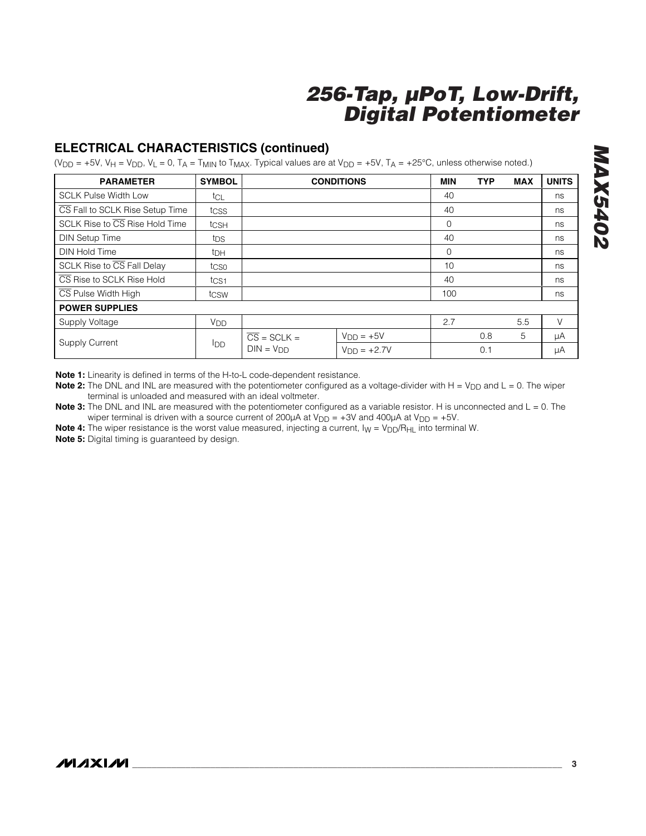## **ELECTRICAL CHARACTERISTICS (continued)**

(V<sub>DD</sub> = +5V, V<sub>H</sub> = V<sub>DD</sub>, V<sub>L</sub> = 0, T<sub>A</sub> = T<sub>MIN</sub> to T<sub>MAX</sub>. Typical values are at V<sub>DD</sub> = +5V, T<sub>A</sub> = +25°C, unless otherwise noted.)

| <b>PARAMETER</b>                                   | <b>SYMBOL</b>    |                          | <b>CONDITIONS</b> | <b>MIN</b>  | <b>TYP</b> | <b>MAX</b> | <b>UNITS</b> |
|----------------------------------------------------|------------------|--------------------------|-------------------|-------------|------------|------------|--------------|
| <b>SCLK Pulse Width Low</b>                        | tcL              |                          |                   | 40          |            |            | ns           |
| CS Fall to SCLK Rise Setup Time                    | tcss             |                          |                   | 40          |            |            | ns           |
| SCLK Rise to $\overline{\text{CS}}$ Rise Hold Time | tcsh             |                          |                   | $\mathbf 0$ |            |            | ns           |
| <b>DIN Setup Time</b>                              | tps              |                          |                   | 40          |            |            | ns           |
| <b>DIN Hold Time</b>                               | t <sub>DH</sub>  |                          |                   | $\mathbf 0$ |            |            | ns           |
| SCLK Rise to CS Fall Delay                         | tcso             |                          |                   | 10          |            |            | ns           |
| CS Rise to SCLK Rise Hold                          | t <sub>CS1</sub> |                          |                   | 40          |            |            | ns           |
| CS Pulse Width High                                | tcsw             |                          |                   | 100         |            |            | ns           |
| <b>POWER SUPPLIES</b>                              |                  |                          |                   |             |            |            |              |
| Supply Voltage                                     | V <sub>DD</sub>  |                          |                   | 2.7         |            | 5.5        | V            |
| Supply Current                                     | IDD              | $\overline{CS}$ = SCLK = | $VDD = +5V$       |             | 0.8        | 5          | μA           |
|                                                    |                  | $DIN = VDD$              | $VDD = +2.7V$     |             | 0.1        |            | μA           |

**Note 1:** Linearity is defined in terms of the H-to-L code-dependent resistance.

**Note 2:** The DNL and INL are measured with the potentiometer configured as a voltage-divider with H = V<sub>DD</sub> and L = 0. The wiper terminal is unloaded and measured with an ideal voltmeter.

**Note 3:** The DNL and INL are measured with the potentiometer configured as a variable resistor. H is unconnected and L = 0. The wiper terminal is driven with a source current of 200 $\mu$ A at  $V_{DD} = +3V$  and 400 $\mu$ A at  $V_{DD} = +5V$ .

**Note 4:** The wiper resistance is the worst value measured, injecting a current,  $I_W = V_{DD}/R_{HL}$  into terminal W.

**Note 5:** Digital timing is guaranteed by design.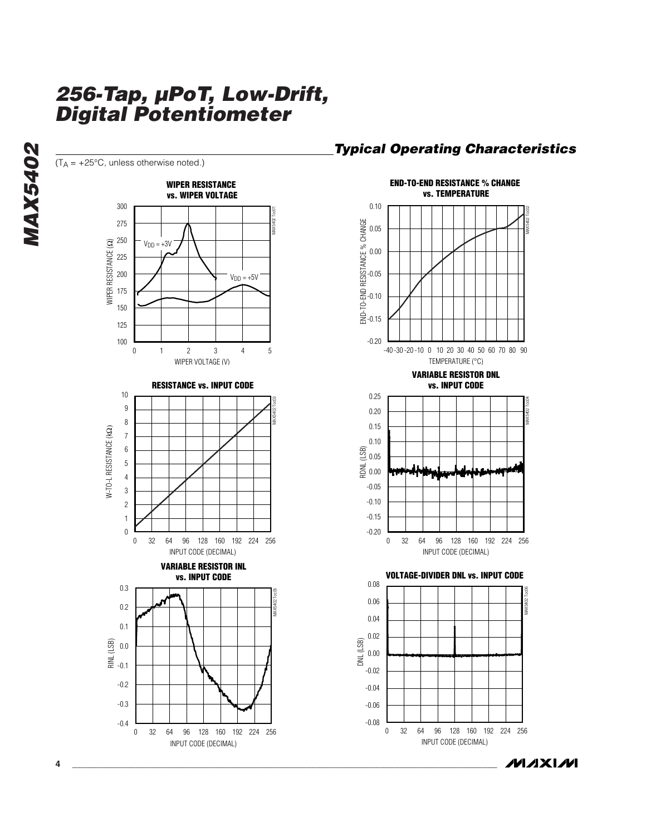

**MAXIM** 

MAX5402 Toc02

MAX5402 Toc04

MAX5402 Toc06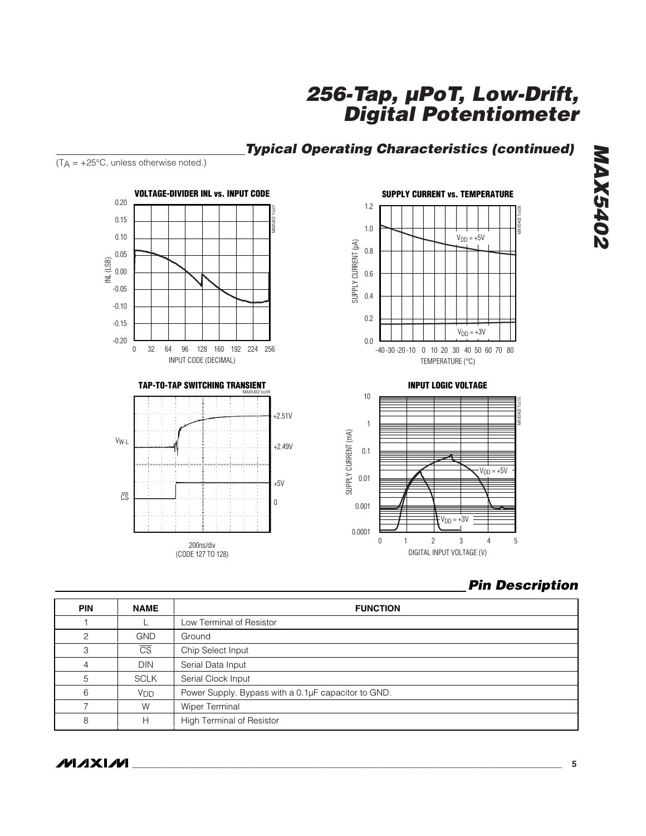## *Typical Operating Characteristics (continued)*



*Pin Description*

MAX5402 Toc10

MAX5402 Toc08

| <b>PIN</b>    | <b>NAME</b>            | <b>FUNCTION</b>                                     |  |  |
|---------------|------------------------|-----------------------------------------------------|--|--|
|               |                        | Low Terminal of Resistor                            |  |  |
| $\mathcal{P}$ | <b>GND</b>             | Ground                                              |  |  |
| 3             | $\overline{\text{CS}}$ | Chip Select Input                                   |  |  |
| 4             | <b>DIN</b>             | Serial Data Input                                   |  |  |
| 5             | <b>SCLK</b>            | Serial Clock Input                                  |  |  |
| 6             | V <sub>DD</sub>        | Power Supply. Bypass with a 0.1µF capacitor to GND. |  |  |
|               | W                      | Wiper Terminal                                      |  |  |
| 8             | н                      | High Terminal of Resistor                           |  |  |

#### $(T_A = +25^{\circ}C,$  unless otherwise noted.)

**MAXIM** 

*MAX5402*

**MAX5402**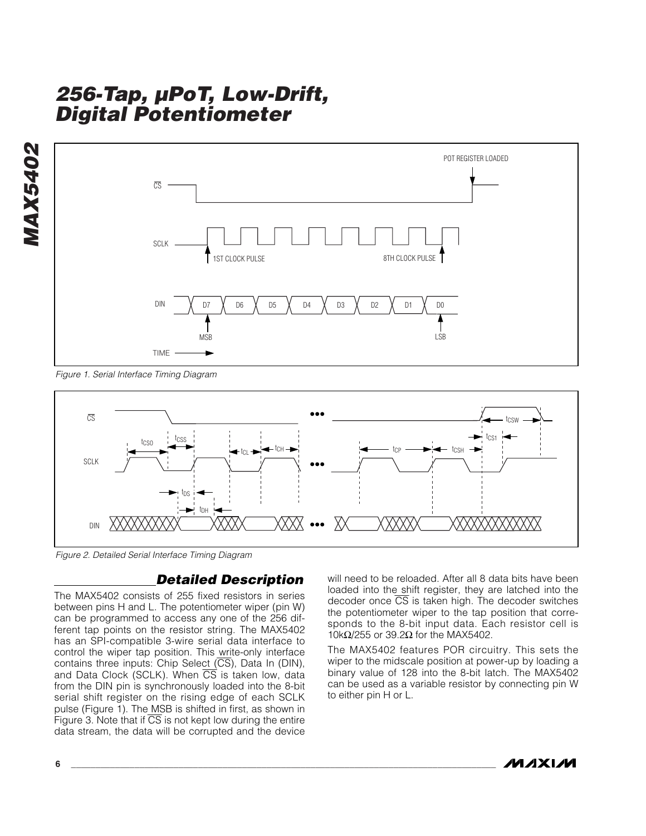



*Figure 1. Serial Interface Timing Diagram*



*Figure 2. Detailed Serial Interface Timing Diagram*

#### *Detailed Description*

The MAX5402 consists of 255 fixed resistors in series between pins H and L. The potentiometer wiper (pin W) can be programmed to access any one of the 256 different tap points on the resistor string. The MAX5402 has an SPI-compatible 3-wire serial data interface to control the wiper tap position. This write-only interface contains three inputs: Chip Select  $(\overline{CS})$ , Data In (DIN), and Data Clock (SCLK). When  $\overline{CS}$  is taken low, data from the DIN pin is synchronously loaded into the 8-bit serial shift register on the rising edge of each SCLK pulse (Figure 1). The MSB is shifted in first, as shown in Figure 3. Note that if  $\overline{CS}$  is not kept low during the entire data stream, the data will be corrupted and the device

will need to be reloaded. After all 8 data bits have been loaded into the shift register, they are latched into the decoder once CS is taken high. The decoder switches the potentiometer wiper to the tap position that corresponds to the 8-bit input data. Each resistor cell is 10kΩ/255 or 39.2Ω for the MAX5402.

The MAX5402 features POR circuitry. This sets the wiper to the midscale position at power-up by loading a binary value of 128 into the 8-bit latch. The MAX5402 can be used as a variable resistor by connecting pin W to either pin H or L.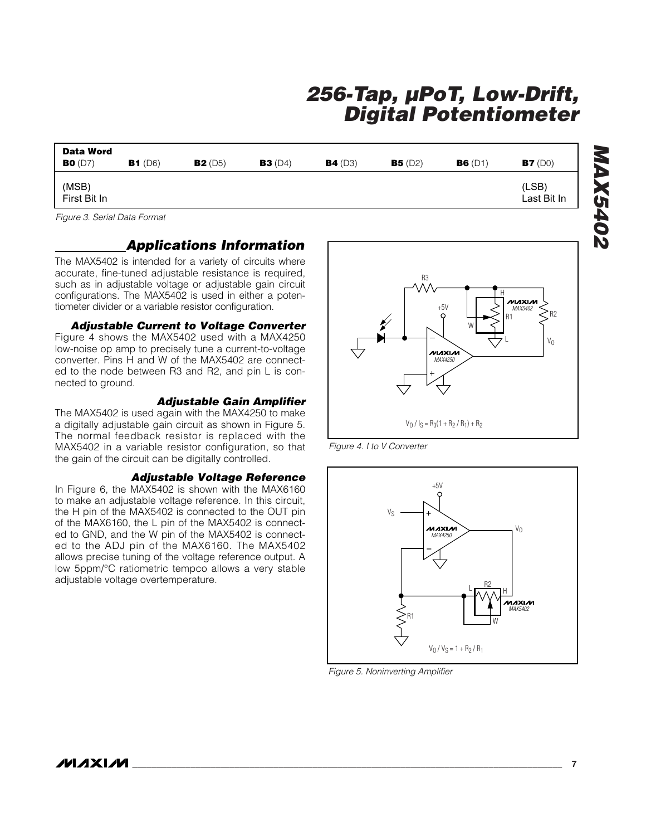| Data Word<br><b>BO</b> (D7) | B1(D6) | B2(D5) | B3(D4) | B4(D3) | B5(D2) | B6(D1) | B7(D0)               |
|-----------------------------|--------|--------|--------|--------|--------|--------|----------------------|
| (MSB)<br>First Bit In       |        |        |        |        |        |        | (LSB)<br>Last Bit In |

*Figure 3. Serial Data Format*

#### *Applications Information*

The MAX5402 is intended for a variety of circuits where accurate, fine-tuned adjustable resistance is required, such as in adjustable voltage or adjustable gain circuit configurations. The MAX5402 is used in either a potentiometer divider or a variable resistor configuration.

#### *Adjustable Current to Voltage Converter*

Figure 4 shows the MAX5402 used with a MAX4250 low-noise op amp to precisely tune a current-to-voltage converter. Pins H and W of the MAX5402 are connected to the node between R3 and R2, and pin L is connected to ground.

#### *Adjustable Gain Amplifier*

The MAX5402 is used again with the MAX4250 to make a digitally adjustable gain circuit as shown in Figure 5. The normal feedback resistor is replaced with the MAX5402 in a variable resistor configuration, so that the gain of the circuit can be digitally controlled.

#### *Adjustable Voltage Reference*

In Figure 6, the MAX5402 is shown with the MAX6160 to make an adjustable voltage reference. In this circuit, the H pin of the MAX5402 is connected to the OUT pin of the MAX6160, the L pin of the MAX5402 is connected to GND, and the W pin of the MAX5402 is connected to the ADJ pin of the MAX6160. The MAX5402 allows precise tuning of the voltage reference output. A low 5ppm/°C ratiometric tempco allows a very stable adjustable voltage overtemperature.







*Figure 5. Noninverting Amplifier*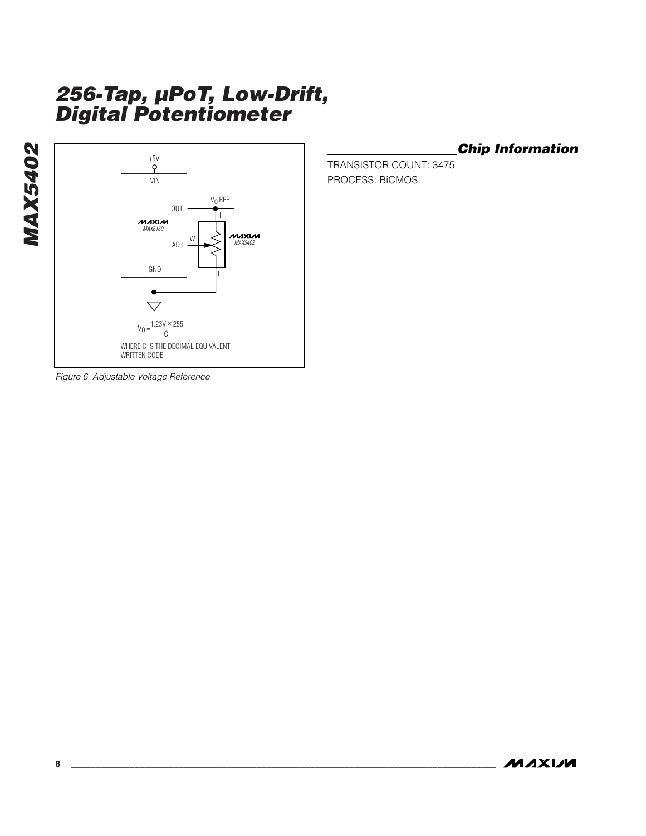

*Chip Information*

TRANSISTOR COUNT: 3475 PROCESS: BiCMOS

*Figure 6. Adjustable Voltage Reference*